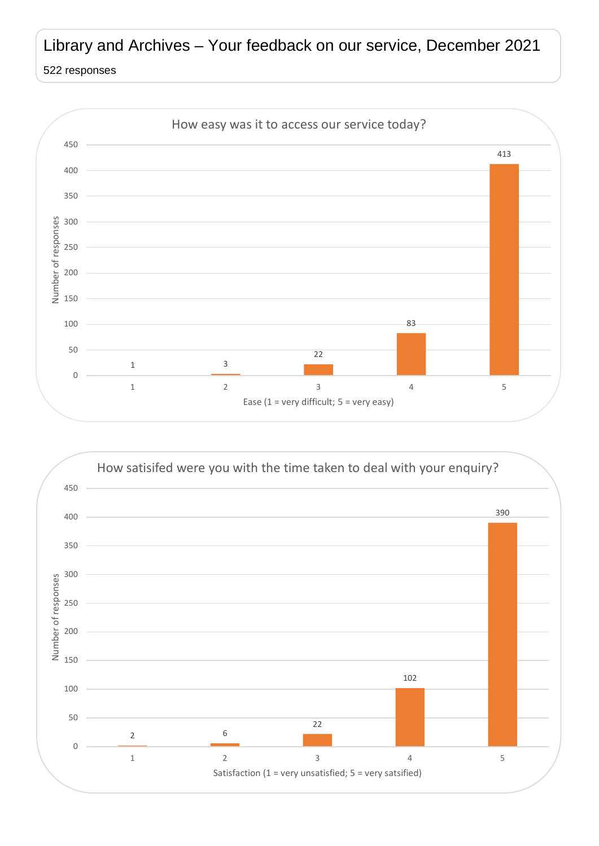## Library and Archives – Your feedback on our service, December 2021

## responses



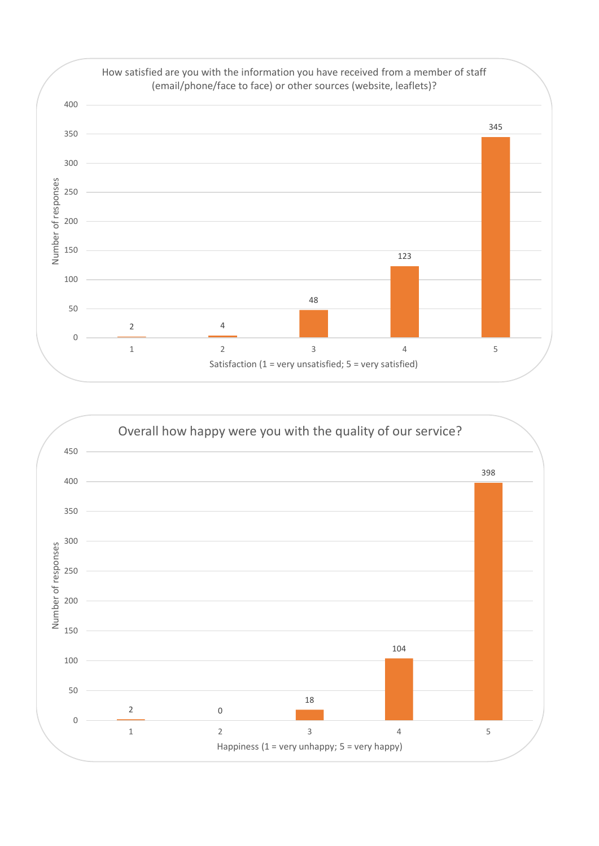